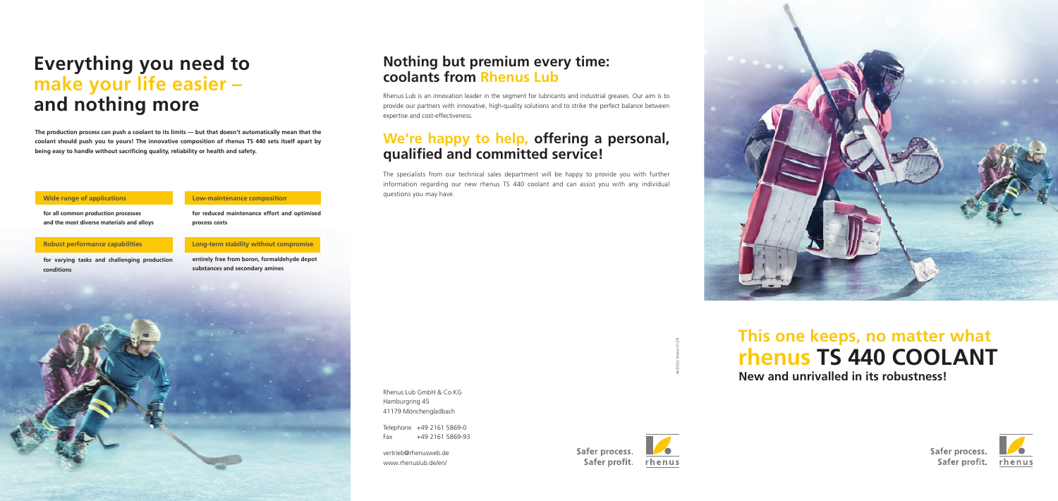# **Everything you need to make your life easier – and nothing more**

**The production process can push a coolant to its limits — but that doesn't automatically mean that the coolant should push you to yours! The innovative composition of rhenus TS 440 sets itself apart by**  being easy to handle without sacrificing quality, reliability or health and safety.

**for all common production processes and the most diverse materials and alloys**

### **Wide range of applications**

**for varying tasks and challenging production conditions**

## **Robust performance capabilities**

**entirely free from boron, formaldehyde depot substances and secondary amines**



### **Long-term stability without compromise**

**for reduced maintenance effort and optimised process costs**

#### **Low-maintenance composition**

Rhenus Lub GmbH & Co KG Hamburgring 45 41179 Mönchengladbach

Telephone +49 2161 5869-0 Fax +49 2161 5869-93

## **This one keeps, no matter what New and unrivalled in its robustness! rhenus TS 440 COOLANT**

rhenus



Safer process.



Safer profit. rhenus

vertrieb@rhenusweb.de www.rhenuslub.de/en/



04/2020, Version 01,EN

## **Nothing but premium every time: coolants from Rhenus Lub**

Rhenus Lub is an innovation leader in the segment for lubricants and industrial greases. Our aim is to provide our partners with innovative, high-quality solutions and to strike the perfect balance between expertise and cost-effectiveness.

## **We're happy to help, offering a personal, qualifi ed and committed service!**

The specialists from our technical sales department will be happy to provide you with further information regarding our new rhenus TS 440 coolant and can assist you with any individual questions you may have.